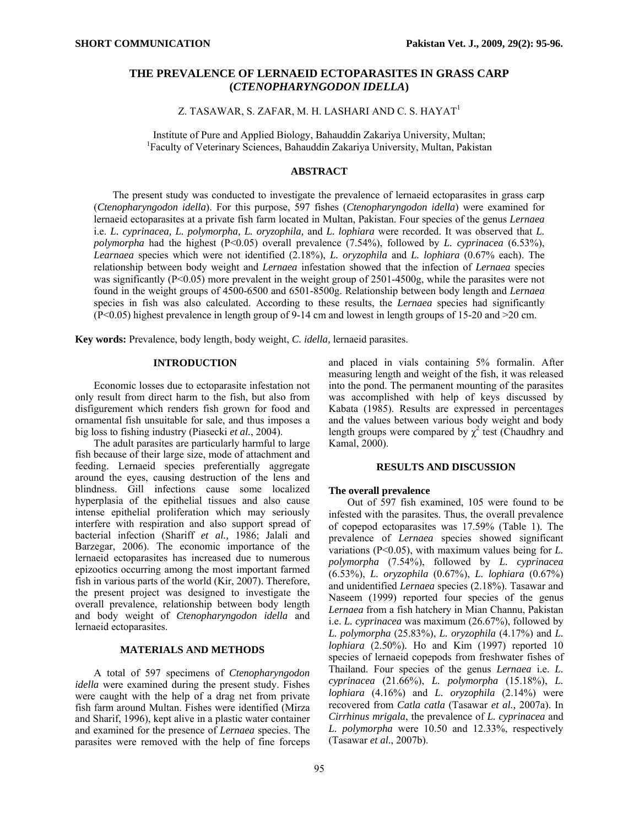# **THE PREVALENCE OF LERNAEID ECTOPARASITES IN GRASS CARP (***CTENOPHARYNGODON IDELLA***)**

Z. TASAWAR, S. ZAFAR, M. H. LASHARI AND C. S. HAYAT<sup>1</sup>

Institute of Pure and Applied Biology, Bahauddin Zakariya University, Multan; <sup>1</sup>Faculty of Veterinary Sciences, Bahauddin Zakariya University, Multan, Pakistan

### **ABSTRACT**

The present study was conducted to investigate the prevalence of lernaeid ectoparasites in grass carp (*Ctenopharyngodon idella*). For this purpose, 597 fishes (*Ctenopharyngodon idella*) were examined for lernaeid ectoparasites at a private fish farm located in Multan, Pakistan. Four species of the genus *Lernaea*  i.e. *L. cyprinacea, L. polymorpha, L. oryzophila,* and *L. lophiara* were recorded. It was observed that *L. polymorpha* had the highest (P<0.05) overall prevalence (7.54%), followed by *L. cyprinacea* (6.53%), *Learnaea* species which were not identified (2.18%), *L. oryzophila* and *L. lophiara* (0.67% each). The relationship between body weight and *Lernaea* infestation showed that the infection of *Lernaea* species was significantly ( $P<0.05$ ) more prevalent in the weight group of 2501-4500g, while the parasites were not found in the weight groups of 4500-6500 and 6501-8500g. Relationship between body length and *Lernaea* species in fish was also calculated. According to these results, the *Lernaea* species had significantly (P<0.05) highest prevalence in length group of 9-14 cm and lowest in length groups of 15-20 and >20 cm.

**Key words:** Prevalence, body length, body weight, *C. idella,* lernaeid parasites.

## **INTRODUCTION**

Economic losses due to ectoparasite infestation not only result from direct harm to the fish, but also from disfigurement which renders fish grown for food and ornamental fish unsuitable for sale, and thus imposes a big loss to fishing industry (Piasecki *et al.*, 2004).

The adult parasites are particularly harmful to large fish because of their large size, mode of attachment and feeding. Lernaeid species preferentially aggregate around the eyes, causing destruction of the lens and blindness. Gill infections cause some localized hyperplasia of the epithelial tissues and also cause intense epithelial proliferation which may seriously interfere with respiration and also support spread of bacterial infection (Shariff *et al.,* 1986; Jalali and Barzegar, 2006). The economic importance of the lernaeid ectoparasites has increased due to numerous epizootics occurring among the most important farmed fish in various parts of the world (Kir, 2007). Therefore, the present project was designed to investigate the overall prevalence, relationship between body length and body weight of *Ctenopharyngodon idella* and lernaeid ectoparasites.

## **MATERIALS AND METHODS**

A total of 597 specimens of *Ctenopharyngodon idella* were examined during the present study. Fishes were caught with the help of a drag net from private fish farm around Multan. Fishes were identified (Mirza and Sharif, 1996), kept alive in a plastic water container and examined for the presence of *Lernaea* species. The parasites were removed with the help of fine forceps

and placed in vials containing 5% formalin. After measuring length and weight of the fish, it was released into the pond. The permanent mounting of the parasites was accomplished with help of keys discussed by Kabata (1985). Results are expressed in percentages and the values between various body weight and body length groups were compared by  $\chi^2$  test (Chaudhry and Kamal, 2000).

#### **RESULTS AND DISCUSSION**

### **The overall prevalence**

Out of 597 fish examined, 105 were found to be infested with the parasites. Thus, the overall prevalence of copepod ectoparasites was 17.59% (Table 1). The prevalence of *Lernaea* species showed significant variations (P<0.05), with maximum values being for *L. polymorpha* (7.54%), followed by *L. cyprinacea*  (6.53%), *L. oryzophila* (0.67%), *L. lophiara* (0.67%) and unidentified *Lernaea* species (2.18%). Tasawar and Naseem (1999) reported four species of the genus *Lernaea* from a fish hatchery in Mian Channu, Pakistan i.e. *L. cyprinacea* was maximum (26.67%), followed by *L. polymorpha* (25.83%), *L. oryzophila* (4.17%) and *L. lophiara* (2.50%)*.* Ho and Kim (1997) reported 10 species of lernaeid copepods from freshwater fishes of Thailand. Four species of the genus *Lernaea* i.e. *L. cyprinacea* (21.66%), *L. polymorpha* (15.18%), *L. lophiara* (4.16%) and *L. oryzophila* (2.14%) were recovered from *Catla catla* (Tasawar *et al.,* 2007a). In *Cirrhinus mrigala*, the prevalence of *L. cyprinacea* and *L. polymorpha* were 10.50 and 12.33%, respectively (Tasawar *et al*., 2007b).